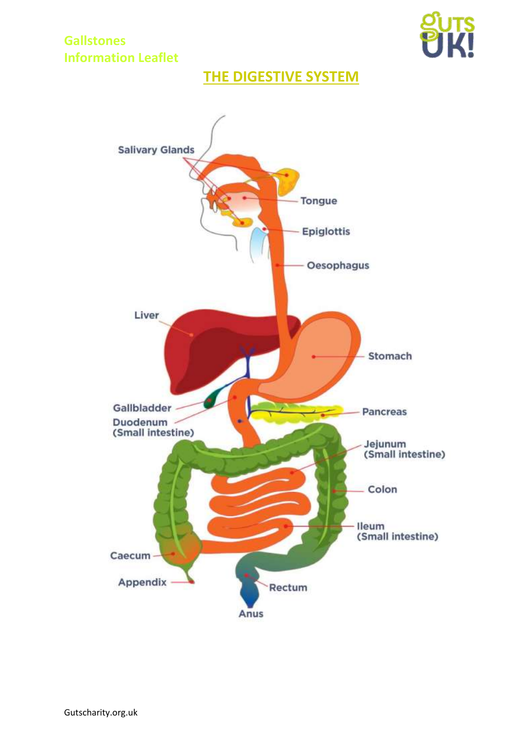

# **THE DIGESTIVE SYSTEM**

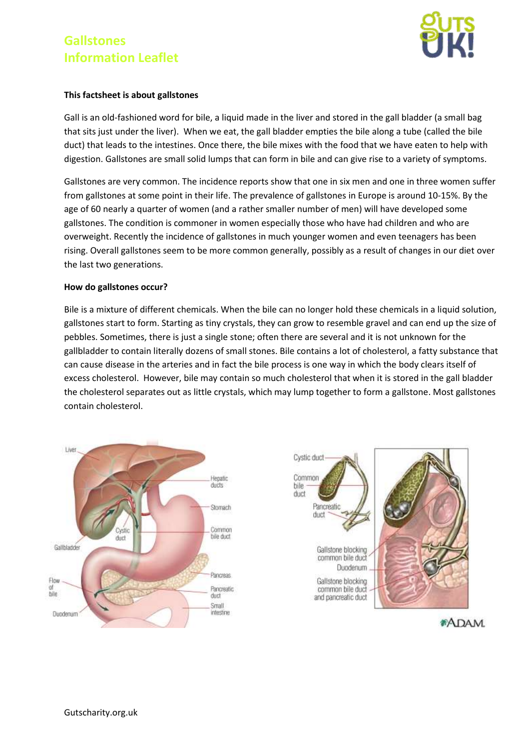

#### **This factsheet is about gallstones**

Gall is an old-fashioned word for bile, a liquid made in the liver and stored in the gall bladder (a small bag that sits just under the liver). When we eat, the gall bladder empties the bile along a tube (called the bile duct) that leads to the intestines. Once there, the bile mixes with the food that we have eaten to help with digestion. Gallstones are small solid lumps that can form in bile and can give rise to a variety of symptoms.

Gallstones are very common. The incidence reports show that one in six men and one in three women suffer from gallstones at some point in their life. The prevalence of gallstones in Europe is around 10-15%. By the age of 60 nearly a quarter of women (and a rather smaller number of men) will have developed some gallstones. The condition is commoner in women especially those who have had children and who are overweight. Recently the incidence of gallstones in much younger women and even teenagers has been rising. Overall gallstones seem to be more common generally, possibly as a result of changes in our diet over the last two generations.

### **How do gallstones occur?**

Bile is a mixture of different chemicals. When the bile can no longer hold these chemicals in a liquid solution, gallstones start to form. Starting as tiny crystals, they can grow to resemble gravel and can end up the size of pebbles. Sometimes, there is just a single stone; often there are several and it is not unknown for the gallbladder to contain literally dozens of small stones. Bile contains a lot of cholesterol, a fatty substance that can cause disease in the arteries and in fact the bile process is one way in which the body clears itself of excess cholesterol. However, bile may contain so much cholesterol that when it is stored in the gall bladder the cholesterol separates out as little crystals, which may lump together to form a gallstone. Most gallstones contain cholesterol.





**\*ADAM**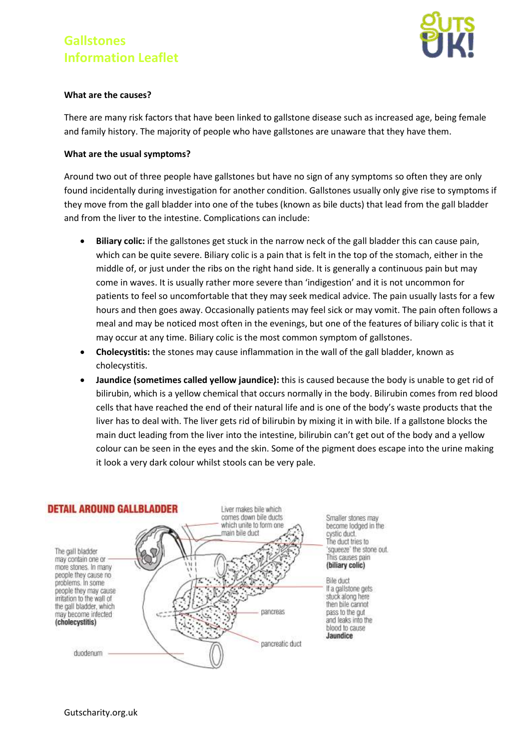

#### **What are the causes?**

There are many risk factors that have been linked to gallstone disease such as increased age, being female and family history. The majority of people who have gallstones are unaware that they have them.

#### **What are the usual symptoms?**

Around two out of three people have gallstones but have no sign of any symptoms so often they are only found incidentally during investigation for another condition. Gallstones usually only give rise to symptoms if they move from the gall bladder into one of the tubes (known as bile ducts) that lead from the gall bladder and from the liver to the intestine. Complications can include:

- **Biliary colic:** if the gallstones get stuck in the narrow neck of the gall bladder this can cause pain, which can be quite severe. Biliary colic is a pain that is felt in the top of the stomach, either in the middle of, or just under the ribs on the right hand side. It is generally a continuous pain but may come in waves. It is usually rather more severe than 'indigestion' and it is not uncommon for patients to feel so uncomfortable that they may seek medical advice. The pain usually lasts for a few hours and then goes away. Occasionally patients may feel sick or may vomit. The pain often follows a meal and may be noticed most often in the evenings, but one of the features of biliary colic is that it may occur at any time. Biliary colic is the most common symptom of gallstones.
- **Cholecystitis:** the stones may cause inflammation in the wall of the gall bladder, known as cholecystitis.
- **Jaundice (sometimes called yellow jaundice):** this is caused because the body is unable to get rid of bilirubin, which is a yellow chemical that occurs normally in the body. Bilirubin comes from red blood cells that have reached the end of their natural life and is one of the body's waste products that the liver has to deal with. The liver gets rid of bilirubin by mixing it in with bile. If a gallstone blocks the main duct leading from the liver into the intestine, bilirubin can't get out of the body and a yellow colour can be seen in the eyes and the skin. Some of the pigment does escape into the urine making it look a very dark colour whilst stools can be very pale.

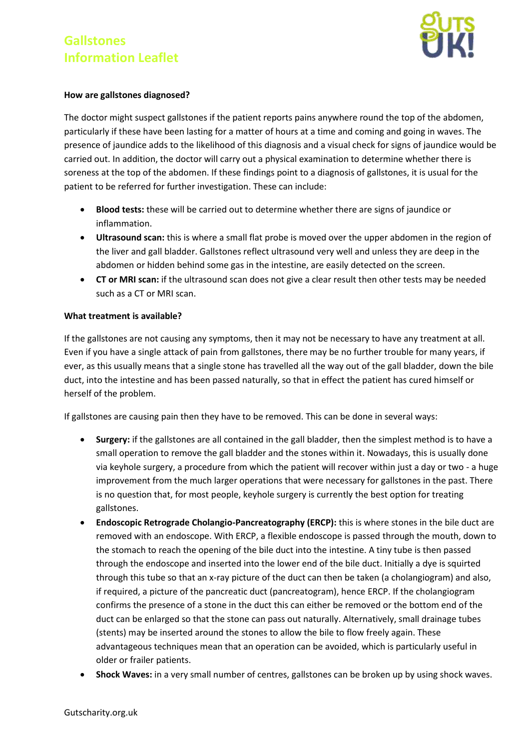

#### **How are gallstones diagnosed?**

The doctor might suspect gallstones if the patient reports pains anywhere round the top of the abdomen, particularly if these have been lasting for a matter of hours at a time and coming and going in waves. The presence of jaundice adds to the likelihood of this diagnosis and a visual check for signs of jaundice would be carried out. In addition, the doctor will carry out a physical examination to determine whether there is soreness at the top of the abdomen. If these findings point to a diagnosis of gallstones, it is usual for the patient to be referred for further investigation. These can include:

- **Blood tests:** these will be carried out to determine whether there are signs of jaundice or inflammation.
- **Ultrasound scan:** this is where a small flat probe is moved over the upper abdomen in the region of the liver and gall bladder. Gallstones reflect ultrasound very well and unless they are deep in the abdomen or hidden behind some gas in the intestine, are easily detected on the screen.
- **CT or MRI scan:** if the ultrasound scan does not give a clear result then other tests may be needed such as a CT or MRI scan.

### **What treatment is available?**

If the gallstones are not causing any symptoms, then it may not be necessary to have any treatment at all. Even if you have a single attack of pain from gallstones, there may be no further trouble for many years, if ever, as this usually means that a single stone has travelled all the way out of the gall bladder, down the bile duct, into the intestine and has been passed naturally, so that in effect the patient has cured himself or herself of the problem.

If gallstones are causing pain then they have to be removed. This can be done in several ways:

- **Surgery:** if the gallstones are all contained in the gall bladder, then the simplest method is to have a small operation to remove the gall bladder and the stones within it. Nowadays, this is usually done via keyhole surgery, a procedure from which the patient will recover within just a day or two - a huge improvement from the much larger operations that were necessary for gallstones in the past. There is no question that, for most people, keyhole surgery is currently the best option for treating gallstones.
- **Endoscopic Retrograde Cholangio-Pancreatography (ERCP):** this is where stones in the bile duct are removed with an endoscope. With ERCP, a flexible endoscope is passed through the mouth, down to the stomach to reach the opening of the bile duct into the intestine. A tiny tube is then passed through the endoscope and inserted into the lower end of the bile duct. Initially a dye is squirted through this tube so that an x-ray picture of the duct can then be taken (a cholangiogram) and also, if required, a picture of the pancreatic duct (pancreatogram), hence ERCP. If the cholangiogram confirms the presence of a stone in the duct this can either be removed or the bottom end of the duct can be enlarged so that the stone can pass out naturally. Alternatively, small drainage tubes (stents) may be inserted around the stones to allow the bile to flow freely again. These advantageous techniques mean that an operation can be avoided, which is particularly useful in older or frailer patients.
- **Shock Waves:** in a very small number of centres, gallstones can be broken up by using shock waves.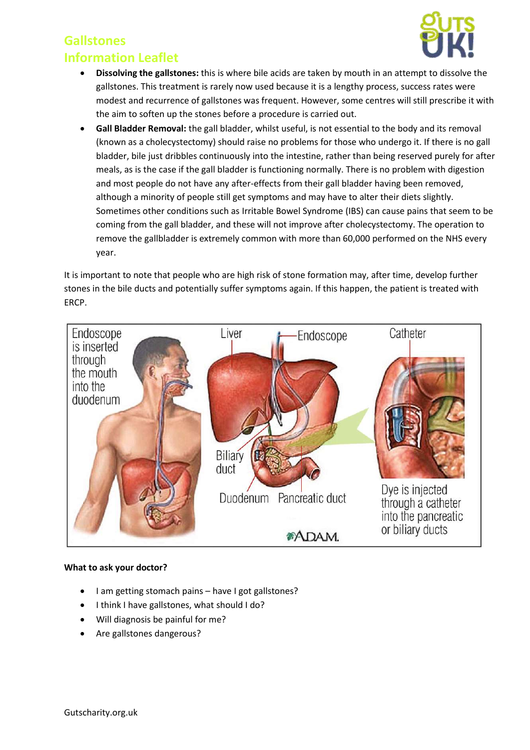## **Gallstones**



### **Information Leaflet**

- **Dissolving the gallstones:** this is where bile acids are taken by mouth in an attempt to dissolve the gallstones. This treatment is rarely now used because it is a lengthy process, success rates were modest and recurrence of gallstones was frequent. However, some centres will still prescribe it with the aim to soften up the stones before a procedure is carried out.
- **Gall Bladder Removal:** the gall bladder, whilst useful, is not essential to the body and its removal (known as a cholecystectomy) should raise no problems for those who undergo it. If there is no gall bladder, bile just dribbles continuously into the intestine, rather than being reserved purely for after meals, as is the case if the gall bladder is functioning normally. There is no problem with digestion and most people do not have any after-effects from their gall bladder having been removed, although a minority of people still get symptoms and may have to alter their diets slightly. Sometimes other conditions such as Irritable Bowel Syndrome (IBS) can cause pains that seem to be coming from the gall bladder, and these will not improve after cholecystectomy. The operation to remove the gallbladder is extremely common with more than 60,000 performed on the NHS every year.

It is important to note that people who are high risk of stone formation may, after time, develop further stones in the bile ducts and potentially suffer symptoms again. If this happen, the patient is treated with ERCP.



#### **What to ask your doctor?**

- I am getting stomach pains have I got gallstones?
- I think I have gallstones, what should I do?
- Will diagnosis be painful for me?
- Are gallstones dangerous?